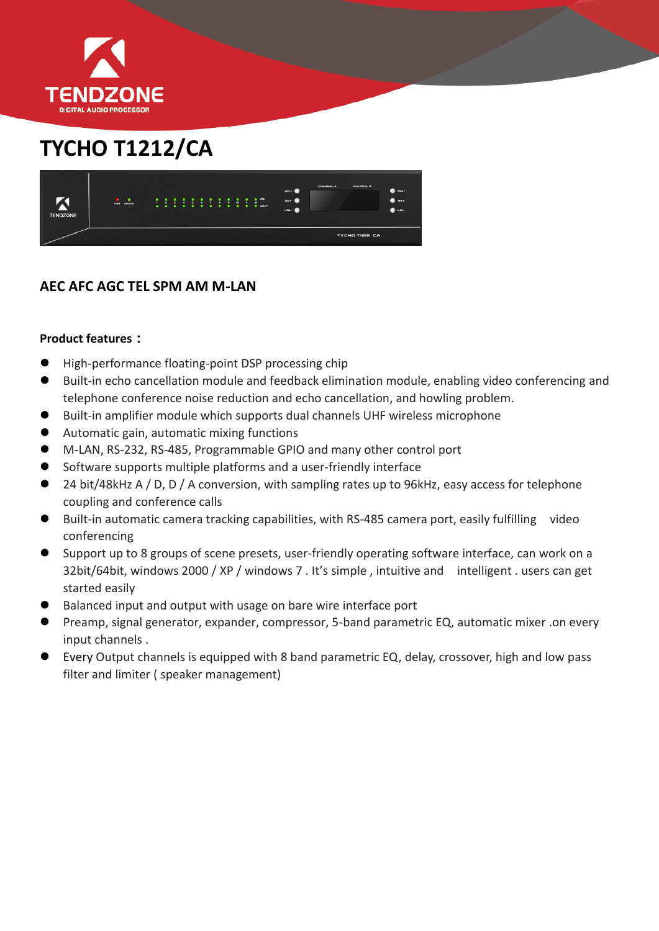

## **TYCHO T1212/CA**



## **AEC AFC AGC TEL SPM AM M-LAN**

## **Product features:**

- High-performance floating-point DSP processing chip
- Built-in echo cancellation module and feedback elimination module, enabling video conferencing and telephone conference noise reduction and echo cancellation, and howling problem.
- Built-in amplifier module which supports dual channels UHF wireless microphone
- Automatic gain, automatic mixing functions
- M-LAN, RS-232, RS-485, Programmable GPIO and many other control port
- Software supports multiple platforms and a user-friendly interface
- 24 bit/48kHz A / D, D / A conversion, with sampling rates up to 96kHz, easy access for telephone coupling and conference calls
- Built-in automatic camera tracking capabilities, with RS-485 camera port, easily fulfilling video conferencing
- Support up to 8 groups of scene presets, user-friendly operating software interface, can work on a 32bit/64bit, windows 2000 / XP / windows 7 . It's simple , intuitive and intelligent . users can get started easily
- Balanced input and output with usage on bare wire interface port
- Preamp, signal generator, expander, compressor, 5-band parametric EQ, automatic mixer .on every input channels .
- Every Output channels is equipped with 8 band parametric EQ, delay, crossover, high and low pass filter and limiter ( speaker management)